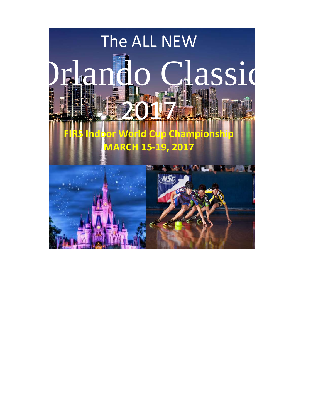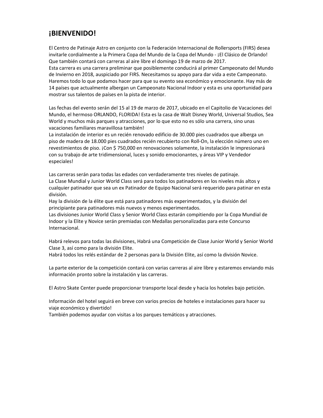# **¡BIENVENIDO!**

El Centro de Patinaje Astro en conjunto con la Federación Internacional de Rollersports (FIRS) desea invitarle cordialmente a la Primera Copa del Mundo de la Copa del Mundo ‐ ¡El Clásico de Orlando! Que también contará con carreras al aire libre el domingo 19 de marzo de 2017.

Esta carrera es una carrera preliminar que posiblemente conducirá al primer Campeonato del Mundo de Invierno en 2018, auspiciado por FIRS. Necesitamos su apoyo para dar vida a este Campeonato. Haremos todo lo que podamos hacer para que su evento sea económico y emocionante. Hay más de 14 países que actualmente albergan un Campeonato Nacional Indoor y esta es una oportunidad para mostrar sus talentos de países en la pista de interior.

Las fechas del evento serán del 15 al 19 de marzo de 2017, ubicado en el Capitolio de Vacaciones del Mundo, el hermoso ORLANDO, FLORIDA! Esta es la casa de Walt Disney World, Universal Studios, Sea World y muchos más parques y atracciones, por lo que esto no es sólo una carrera, sino unas vacaciones familiares maravillosa también!

La instalación de interior es un recién renovado edificio de 30.000 pies cuadrados que alberga un piso de madera de 18.000 pies cuadrados recién recubierto con Roll‐On, la elección número uno en revestimientos de piso. ¡Con \$ 750,000 en renovaciones solamente, la instalación le impresionará con su trabajo de arte tridimensional, luces y sonido emocionantes, y áreas VIP y Vendedor especiales!

Las carreras serán para todas las edades con verdaderamente tres niveles de patinaje. La Clase Mundial y Junior World Class será para todos los patinadores en los niveles más altos y cualquier patinador que sea un ex Patinador de Equipo Nacional será requerido para patinar en esta división.

Hay la división de la élite que está para patinadores más experimentados, y la división del principiante para patinadores más nuevos y menos experimentados.

Las divisiones Junior World Class y Senior World Class estarán compitiendo por la Copa Mundial de Indoor y la Elite y Novice serán premiadas con Medallas personalizadas para este Concurso Internacional.

Habrá relevos para todas las divisiones, Habrá una Competición de Clase Junior World y Senior World Clase 3, así como para la división Elite.

Habrá todos los relés estándar de 2 personas para la División Elite, así como la división Novice.

La parte exterior de la competición contará con varias carreras al aire libre y estaremos enviando más información pronto sobre la instalación y las carreras.

El Astro Skate Center puede proporcionar transporte local desde y hacia los hoteles bajo petición.

Información del hotel seguirá en breve con varios precios de hoteles e instalaciones para hacer su viaje económico y divertido!

También podemos ayudar con visitas a los parques temáticos y atracciones.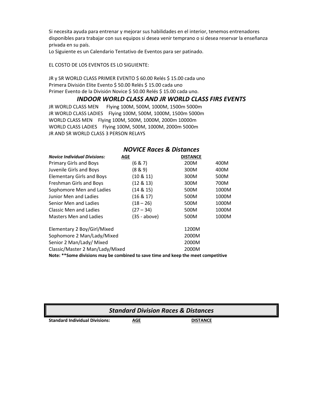Si necesita ayuda para entrenar y mejorar sus habilidades en el interior, tenemos entrenadores disponibles para trabajar con sus equipos si desea venir temprano o si desea reservar la enseñanza privada en su país.

Lo Siguiente es un Calendario Tentativo de Eventos para ser patinado.

EL COSTO DE LOS EVENTOS ES LO SIGUIENTE:

JR y SR WORLD CLASS PRIMER EVENTO \$ 60.00 Relés \$ 15.00 cada uno Primera División Elite Evento \$ 50.00 Relés \$ 15.00 cada uno Primer Evento de la División Novice \$ 50.00 Relés \$ 15.00 cada uno.

# *INDOOR WORLD CLASS AND JR WORLD CLASS FIRS EVENTS*

JR WORLD CLASS MEN Flying 100M, 500M, 1000M, 1500m 5000m JR WORLD CLASS LADIES Flying 100M, 500M, 1000M, 1500m 5000m WORLD CLASS MEN Flying 100M, 500M, 1000M, 2000m 10000m WORLD CLASS LADIES Flying 100M, 500M, 1000M, 2000m 5000m JR AND SR WORLD CLASS 3 PERSON RELAYS

| <b>Novice Individual Divisions:</b>                                               | AGE          | <b>DISTANCE</b> |       |
|-----------------------------------------------------------------------------------|--------------|-----------------|-------|
| <b>Primary Girls and Boys</b>                                                     | (6 & 7)      | 200M            | 400M  |
| Juvenile Girls and Boys                                                           | (8 & 9)      | 300M            | 400M  |
| <b>Elementary Girls and Boys</b>                                                  | (10 & 11)    | 300M            | 500M  |
| Freshman Girls and Boys                                                           | (12 & 13)    | 300M            | 700M  |
| Sophomore Men and Ladies                                                          | (14 & 15)    | 500M            | 1000M |
| Junior Men and Ladies                                                             | (16 & 17)    | 500M            | 1000M |
| Senior Men and Ladies                                                             | $(18 - 26)$  | 500M            | 1000M |
| Classic Men and Ladies                                                            | $(27 - 34)$  | 500M            | 1000M |
| Masters Men and Ladies                                                            | (35 - above) | 500M            | 1000M |
| Elementary 2 Boy/Girl/Mixed                                                       |              | 1200M           |       |
| Sophomore 2 Man/Lady/Mixed                                                        |              | 2000M           |       |
| Senior 2 Man/Lady/ Mixed                                                          |              | 2000M           |       |
| Classic/Master 2 Man/Lady/Mixed                                                   |              | 2000M           |       |
| Note: **Some divisions may be combined to save time and keep the meet competitive |              |                 |       |

# *NOVICE Races & Distances*

| <b>Standard Division Races &amp; Distances</b> |     |                 |  |
|------------------------------------------------|-----|-----------------|--|
| <b>Standard Individual Divisions:</b>          | AGE | <b>DISTANCE</b> |  |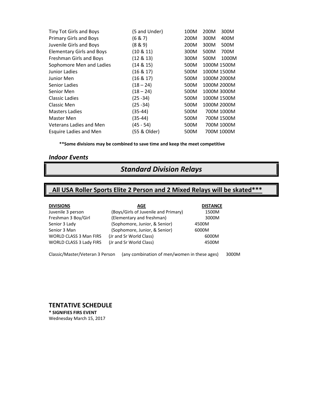| Tiny Tot Girls and Boys          | (5 and Under) | 100M | 200M        | 300M       |
|----------------------------------|---------------|------|-------------|------------|
| Primary Girls and Boys           | (6 & 7)       | 200M | 300M        | 400M       |
| Juvenile Girls and Boys          | (8 & 9)       | 200M | 300M        | 500M       |
| <b>Elementary Girls and Boys</b> | $(10 \& 11)$  | 300M | 500M        | 700M       |
| Freshman Girls and Boys          | $(12 \& 13)$  | 300M | 500M        | 1000M      |
| Sophomore Men and Ladies         | (14 & 15)     | 500M | 1000M 1500M |            |
| Junior Ladies                    | $(16 \& 17)$  | 500M | 1000M 1500M |            |
| Junior Men                       | $(16 \& 17)$  | 500M | 1000M 2000M |            |
| Senior Ladies                    | $(18 - 24)$   | 500M | 1000M 2000M |            |
| Senior Men                       | $(18 - 24)$   | 500M | 1000M 3000M |            |
| Classic Ladies                   | $(25 - 34)$   | 500M | 1000M 1500M |            |
| Classic Men                      | (25 -34)      | 500M | 1000M 2000M |            |
| <b>Masters Ladies</b>            | (35-44)       | 500M |             | 700M 1000M |
| Master Men                       | (35-44)       | 500M |             | 700M 1500M |
| Veterans Ladies and Men          | (45 - 54)     | 500M |             | 700M 1000M |
| Esquire Ladies and Men           | (55 & Older)  | 500M |             | 700M 1000M |

**\*\*Some divisions may be combined to save time and keep the meet competitive**

### *Indoor Events*

# *Standard Division Relays*

# **All USA Roller Sports Elite 2 Person and 2 Mixed Relays will be skated\*\*\***

| <b>DIVISIONS</b>               | AGE                                  | <b>DISTANCE</b> |
|--------------------------------|--------------------------------------|-----------------|
| Juvenile 3 person              | (Boys/Girls of Juvenile and Primary) | 1500M           |
| Freshman 3 Boy/Girl            | (Elementary and freshman)            | 3000M           |
| Senior 3 Lady                  | (Sophomore, Junior, & Senior)        | 4500M           |
| Senior 3 Man                   | (Sophomore, Junior, & Senior)        | 6000M           |
| <b>WORLD CLASS 3 Man FIRS</b>  | (Jr and Sr World Class)              | 6000M           |
| <b>WORLD CLASS 3 Lady FIRS</b> | (Jr and Sr World Class)              | 4500M           |
|                                |                                      |                 |

Classic/Master/Veteran 3 Person (any combination of men/women in these ages) 3000M

**TENTATIVE SCHEDULE \* SIGNIFIES FIRS EVENT** Wednesday March 15, 2017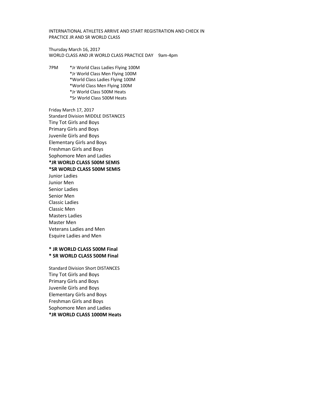INTERNATIONAL ATHLETES ARRIVE AND START REGISTRATION AND CHECK IN PRACTICE JR AND SR WORLD CLASS

Thursday March 16, 2017 WORLD CLASS AND JR WORLD CLASS PRACTICE DAY 9am-4pm

7PM \*Jr World Class Ladies Flying 100M \*Jr World Class Men Flying 100M \*World Class Ladies Flying 100M \*World Class Men Flying 100M \*Jr World Class 500M Heats \*Sr World Class 500M Heats

Friday March 17, 2017 Standard Division MIDDLE DISTANCES Tiny Tot Girls and Boys Primary Girls and Boys Juvenile Girls and Boys Elementary Girls and Boys Freshman Girls and Boys Sophomore Men and Ladies **\*JR WORLD CLASS 500M SEMIS \*SR WORLD CLASS 500M SEMIS** Junior Ladies Junior Men Senior Ladies Senior Men Classic Ladies Classic Men Masters Ladies Master Men Veterans Ladies and Men Esquire Ladies and Men

### **\* JR WORLD CLASS 500M Final \* SR WORLD CLASS 500M Final**

Standard Division Short DISTANCES Tiny Tot Girls and Boys Primary Girls and Boys Juvenile Girls and Boys Elementary Girls and Boys Freshman Girls and Boys Sophomore Men and Ladies **\*JR WORLD CLASS 1000M Heats**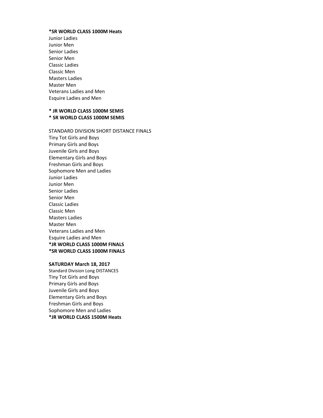#### **\*SR WORLD CLASS 1000M Heats**

Junior Ladies Junior Men Senior Ladies Senior Men Classic Ladies Classic Men Masters Ladies Master Men Veterans Ladies and Men Esquire Ladies and Men

# **\* JR WORLD CLASS 1000M SEMIS \* SR WORLD CLASS 1000M SEMIS**

STANDARD DIVISION SHORT DISTANCE FINALS Tiny Tot Girls and Boys Primary Girls and Boys Juvenile Girls and Boys Elementary Girls and Boys Freshman Girls and Boys Sophomore Men and Ladies Junior Ladies Junior Men Senior Ladies Senior Men Classic Ladies Classic Men Masters Ladies Master Men Veterans Ladies and Men Esquire Ladies and Men **\*JR WORLD CLASS 1000M FINALS \*SR WORLD CLASS 1000M FINALS**

#### **SATURDAY March 18, 2017**

Standard Division Long DISTANCES Tiny Tot Girls and Boys Primary Girls and Boys Juvenile Girls and Boys Elementary Girls and Boys Freshman Girls and Boys Sophomore Men and Ladies **\*JR WORLD CLASS 1500M Heats**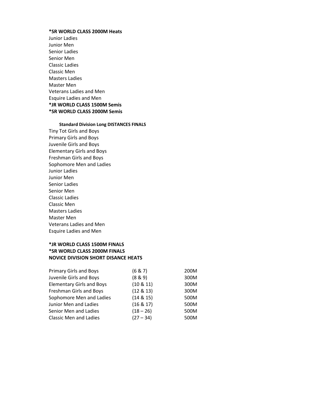## **\*SR WORLD CLASS 2000M Heats**

Junior Ladies Junior Men Senior Ladies Senior Men Classic Ladies Classic Men Masters Ladies Master Men Veterans Ladies and Men Esquire Ladies and Men **\*JR WORLD CLASS 1500M Semis \*SR WORLD CLASS 2000M Semis**

## **Standard Division Long DISTANCES FINALS**

Tiny Tot Girls and Boys Primary Girls and Boys Juvenile Girls and Boys Elementary Girls and Boys Freshman Girls and Boys Sophomore Men and Ladies Junior Ladies Junior Men Senior Ladies Senior Men Classic Ladies Classic Men Masters Ladies Master Men Veterans Ladies and Men Esquire Ladies and Men

# **\*JR WORLD CLASS 1500M FINALS \*SR WORLD CLASS 2000M FINALS NOVICE DIVISION SHORT DISANCE HEATS**

| Primary Girls and Boys           | (6 & 7)      | 200M |
|----------------------------------|--------------|------|
| Juvenile Girls and Boys          | (8 & 9)      | 300M |
| <b>Elementary Girls and Boys</b> | $(10 \& 11)$ | 300M |
| Freshman Girls and Boys          | (12 & 13)    | 300M |
| Sophomore Men and Ladies         | $(14 \& 15)$ | 500M |
| Junior Men and Ladies            | (16 & 17)    | 500M |
| Senior Men and Ladies            | $(18 - 26)$  | 500M |
| <b>Classic Men and Ladies</b>    | $(27 - 34)$  | 500M |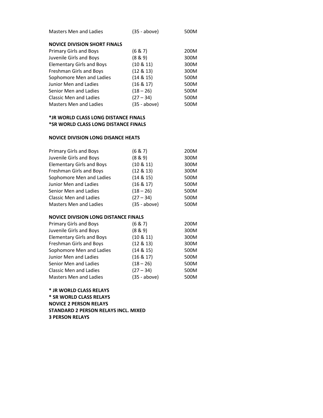| Masters Men and Ladies              | $(35 - above)$ | 500M |
|-------------------------------------|----------------|------|
| <b>NOVICE DIVISION SHORT FINALS</b> |                |      |
| Primary Girls and Boys              | (6 & 7)        | 200M |
| Juvenile Girls and Boys             | (8 & 9)        | 300M |
| <b>Elementary Girls and Boys</b>    | $(10 \& 11)$   | 300M |
| Freshman Girls and Boys             | $(12 \& 13)$   | 300M |
| Sophomore Men and Ladies            | $(14 \& 15)$   | 500M |
| Junior Men and Ladies               | $(16 \& 17)$   | 500M |
| Senior Men and Ladies               | $(18 - 26)$    | 500M |
| Classic Men and Ladies              | $(27 - 34)$    | 500M |
| Masters Men and Ladies              | (35 - above)   | 500M |

## **\*JR WORLD CLASS LONG DISTANCE FINALS \*SR WORLD CLASS LONG DISTANCE FINALS**

### **NOVICE DIVISION LONG DISANCE HEATS**

| Primary Girls and Boys           | (6 & 7)        | 200M |
|----------------------------------|----------------|------|
| Juvenile Girls and Boys          | (8 & 9)        | 300M |
| <b>Elementary Girls and Boys</b> | $(10 \& 11)$   | 300M |
| Freshman Girls and Boys          | (12 & 13)      | 300M |
| Sophomore Men and Ladies         | (14 & 15)      | 500M |
| Junior Men and Ladies            | (16 & 17)      | 500M |
| Senior Men and Ladies            | $(18 - 26)$    | 500M |
| Classic Men and Ladies           | $(27 - 34)$    | 500M |
| <b>Masters Men and Ladies</b>    | $(35 - above)$ | 500M |

## **NOVICE DIVISION LONG DISTANCE FINALS**

| <b>Primary Girls and Boys</b>    | (6 & 7)        | 200M |
|----------------------------------|----------------|------|
| Juvenile Girls and Boys          | (8 & 9)        | 300M |
| <b>Elementary Girls and Boys</b> | $(10 \& 11)$   | 300M |
| Freshman Girls and Boys          | (12 & 13)      | 300M |
| Sophomore Men and Ladies         | $(14 \& 15)$   | 500M |
| Junior Men and Ladies            | (16 & 17)      | 500M |
| Senior Men and Ladies            | $(18 - 26)$    | 500M |
| <b>Classic Men and Ladies</b>    | $(27 - 34)$    | 500M |
| <b>Masters Men and Ladies</b>    | $(35 - above)$ | 500M |

**\* JR WORLD CLASS RELAYS \* SR WORLD CLASS RELAYS NOVICE 2 PERSON RELAYS STANDARD 2 PERSON RELAYS INCL. MIXED 3 PERSON RELAYS**